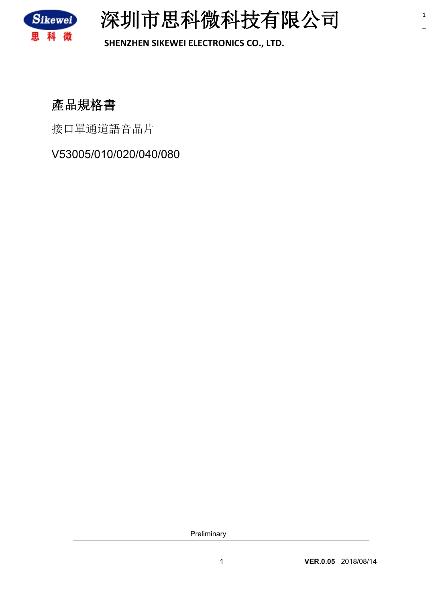

**SHENZHEN SIKEWEI ELECTRONICS CO., LTD.**

# **產品規格書**

接口單通道語音晶片

V53005/010/020/040/080

Preliminary

1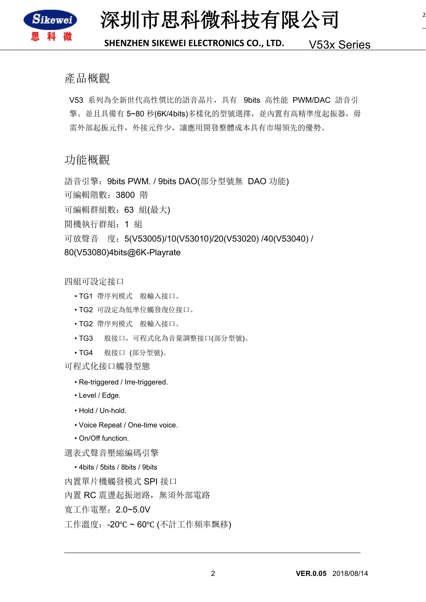

**深圳市思科微科技有限公司**

2

#### **SHENZHEN SIKEWEI ELECTRONICS CO., LTD.** V53x Series

#### 產品概觀

V53 系列為全新世代高性價比的語音晶片,具有 9bits 高性能 PWM/DAC 語音引 擎。並且具備有 5~80 秒(6K/4bits)多樣化的型號選擇, 並內置有高精準度起振器, 毋 需外部起振元件,外接元件少,讓應用開發整體成本具有市場領先的優勢。

#### 功能概觀

語音引擎: 9bits PWM. / 9bits DAO(部分型號無 DAO 功能) 可編輯階數:3800 階 可編輯群組數:63 組(最大) 開機執行群組:1 組 可放聲音 度:5(V53005)/10(V53010)/20(V53020) /40(V53040) / 80(V53080)4bits@6K-Playrate

四組可設定接口

- TG1 帶序列模式 般輸入接口。
- TG2 可設定為低準位觸發復位接口。
- TG2 帶序列模式 般輸入接口。
- TG3 般接口,可程式化為音量調整接口(部分型號)。
- TG4 般接口 (部分型號)。

可程式化接口觸發型態

- Re-triggered / Irre-triggered.
- Level / Edge.
- Hold / Un-hold.
- Voice Repeat / One-time voice.
- On/Off function.

選表式聲音壓縮編碼引擎

• 4bits / 5bits / 8bits / 9bits 內置單片機觸發模式 SPI 接口 內置 RC 震盪起振迴路,無須外部電路 寬工作電壓:2.0~5.0V 工作溫度:-20℃ ~ 60℃ (不計工作頻率飄移)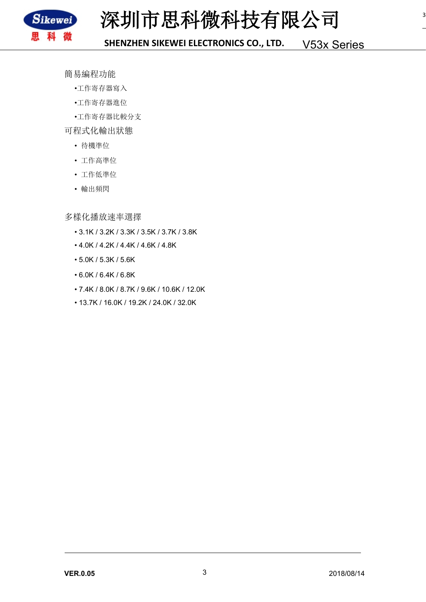

簡易編程功能

- •工作寄存器寫入
- •工作寄存器進位
- •工作寄存器比較分支

可程式化輸出狀態

- 待機準位
- 工作高準位
- 工作低準位
- 輸出頻閃

多樣化播放速率選擇

- 3.1K / 3.2K / 3.3K / 3.5K / 3.7K / 3.8K
- 4.0K / 4.2K / 4.4K / 4.6K / 4.8K
- 5.0K / 5.3K / 5.6K
- 6.0K / 6.4K / 6.8K
- 7.4K / 8.0K / 8.7K / 9.6K / 10.6K / 12.0K
- 13.7K / 16.0K / 19.2K / 24.0K / 32.0K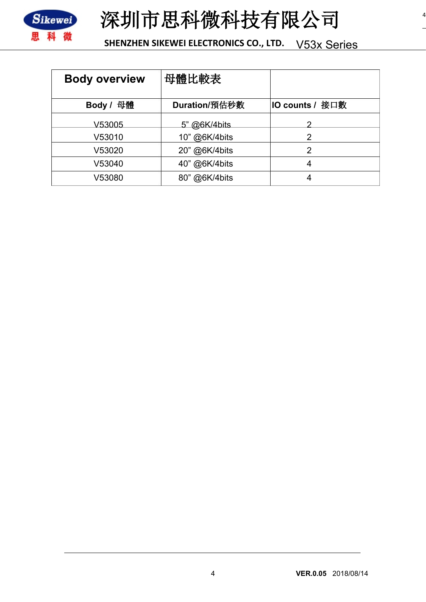



| <b>Body overview</b> | 母體比較表         |                        |
|----------------------|---------------|------------------------|
| 母體<br>Body /         | Duration/預估秒數 | <b>IO counts / 接口數</b> |
| V53005               | 5" @6K/4bits  |                        |
| V53010               | 10" @6K/4bits | 2                      |
| V53020               | 20" @6K/4bits | 2                      |
| V53040               | 40" @6K/4bits | 4                      |
| V53080               | 80" @6K/4bits | 4                      |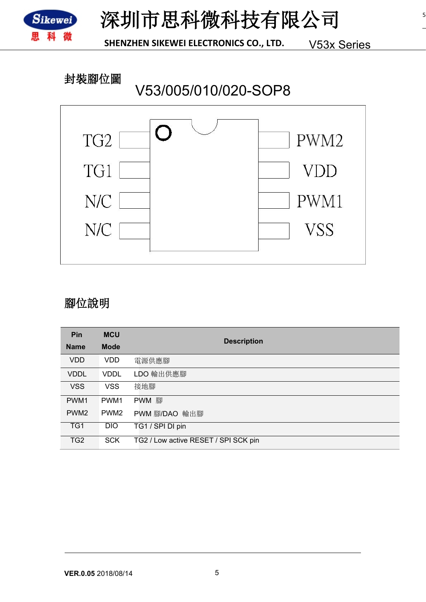

### **封裝腳位圖**

# V53/005/010/020-SOP8



#### **腳位說明**

| Pin              | <b>MCU</b>       |                                      |
|------------------|------------------|--------------------------------------|
| <b>Name</b>      | <b>Mode</b>      | <b>Description</b>                   |
| <b>VDD</b>       | VDD              | 電源供應腳                                |
| <b>VDDL</b>      | <b>VDDL</b>      | LDO 輸出供應腳                            |
| <b>VSS</b>       | <b>VSS</b>       | 接地腳                                  |
| PWM <sub>1</sub> | PWM <sub>1</sub> | PWM 腳                                |
| PWM <sub>2</sub> | PWM <sub>2</sub> | PWM 腳/DAO 輸出腳                        |
| TG1              | <b>DIO</b>       | TG1 / SPI DI pin                     |
| TG <sub>2</sub>  | <b>SCK</b>       | TG2 / Low active RESET / SPI SCK pin |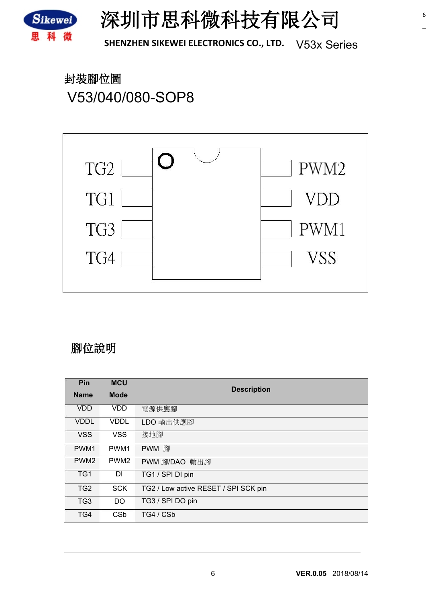

**封裝腳位圖** V53/040/080-SOP8



#### **腳位說明**

| Pin              | <b>MCU</b>       |                                      |  |
|------------------|------------------|--------------------------------------|--|
| <b>Name</b>      | <b>Mode</b>      | <b>Description</b>                   |  |
| <b>VDD</b>       | VDD              | 電源供應腳                                |  |
| <b>VDDL</b>      | <b>VDDL</b>      | LDO 輸出供應腳                            |  |
| <b>VSS</b>       | <b>VSS</b>       | 接地腳                                  |  |
| PWM <sub>1</sub> | PWM <sub>1</sub> | PWM 腳                                |  |
| PWM <sub>2</sub> | PWM <sub>2</sub> | PWM 腳/DAO 輸出腳                        |  |
| TG <sub>1</sub>  | <b>DI</b>        | TG1 / SPI DI pin                     |  |
| TG <sub>2</sub>  | <b>SCK</b>       | TG2 / Low active RESET / SPI SCK pin |  |
| TG <sub>3</sub>  | DO.              | TG3 / SPI DO pin                     |  |
| TG4              | <b>CSb</b>       | TG4 / CSb                            |  |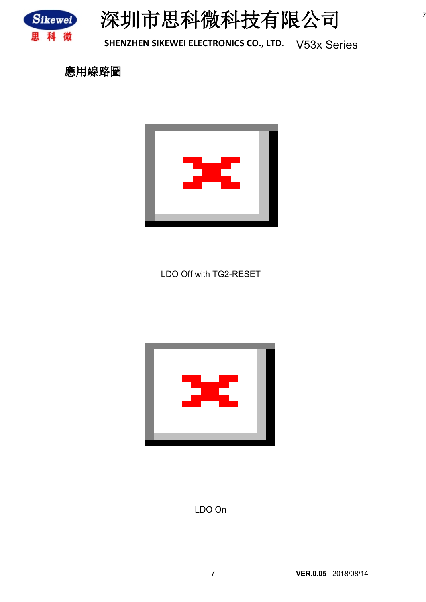



7

**應用線路圖**



LDO Off with TG2-RESET



LDO On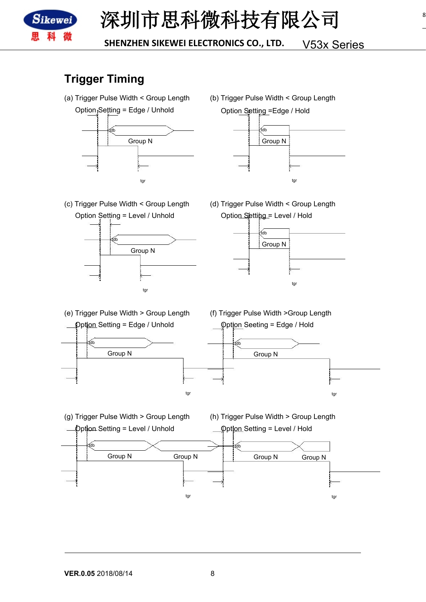

## **Trigger Timing**

- (a) Trigger Pulse Width < Group Length Option Setting = Edge / Unhold tdb tdb Group N Group N
	- (b) Trigger Pulse Width < Group Length Option Setting = Edge / Hold



(c) Trigger Pulse Width < Group Length Option Setting = Level / Unhold



(d) Trigger Pulse Width < Group Length Option Setting = Level / Hold



(e) Trigger Pulse Width > Group Length











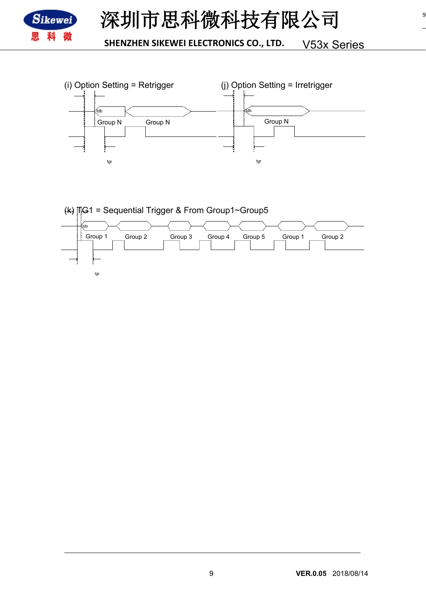

9

**SHENZHEN SIKEWEI ELECTRONICS CO., LTD.** V53x Series



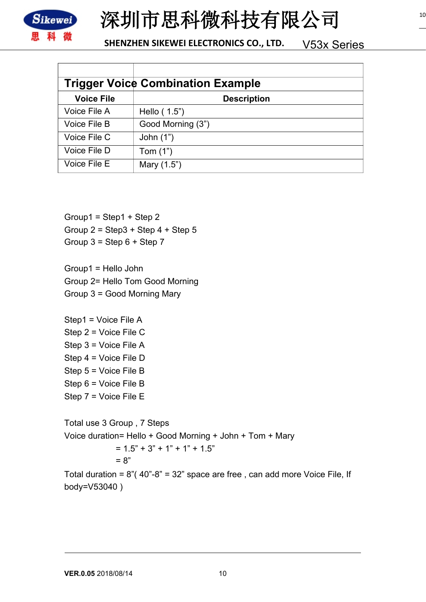

# **深圳市思科微科技有限公司**

#### **SHENZHEN SIKEWEI ELECTRONICS CO., LTD.** V53x Series

| <b>Trigger Voice Combination Example</b> |                    |  |  |
|------------------------------------------|--------------------|--|--|
| <b>Voice File</b>                        | <b>Description</b> |  |  |
| Voice File A                             | Hello (1.5")       |  |  |
| Voice File B                             | Good Morning (3")  |  |  |
| Voice File C                             | John $(1")$        |  |  |
| Voice File D                             | Tom $(1")$         |  |  |
| Voice File E                             | Mary (1.5")        |  |  |

Group1 =  $Step1 + Step2$ Group  $2 =$  Step  $3 +$  Step  $4 +$  Step  $5$ Group  $3 =$  Step  $6 +$  Step  $7$ 

Group1 = Hello John Group 2= Hello Tom Good Morning Group 3 = Good Morning Mary

Step1 = Voice File A Step 2 = Voice File C Step 3 = Voice File A Step 4 = Voice File D Step 5 = Voice File B Step 6 = Voice File B Step 7 = Voice File E

Total use 3 Group , 7 Steps Voice duration= Hello + Good Morning + John + Tom + Mary  $= 1.5" + 3" + 1" + 1" + 1.5"$  $= 8"$ 

Total duration =  $8^\circ$  (40"-8" = 32" space are free, can add more Voice File, If body=V53040 )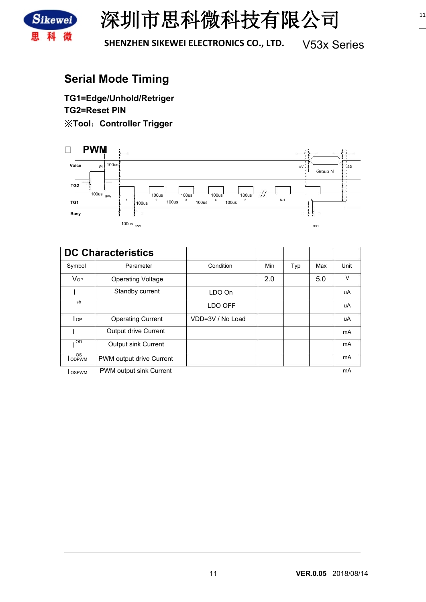

# **Serial Mode Timing**

**TG1=Edge/Unhold/Retriger TG2=Reset PIN** ※**Tool**:**Controller Trigger**



|                                            | <b>DC Characteristics</b>  |                  |     |     |     |                |
|--------------------------------------------|----------------------------|------------------|-----|-----|-----|----------------|
| Symbol                                     | Parameter                  | Condition        | Min | Typ | Max | Unit           |
| <b>V</b> <sub>OP</sub>                     | <b>Operating Voltage</b>   |                  | 2.0 |     | 5.0 | V              |
|                                            | Standby current            | LDO On           |     |     |     | uA             |
| $s$ <sub>b</sub>                           |                            | LDO OFF          |     |     |     | uA             |
| l op                                       | <b>Operating Current</b>   | VDD=3V / No Load |     |     |     | uA             |
|                                            | Output drive Current       |                  |     |     |     | mA             |
| OD                                         | Output sink Current        |                  |     |     |     | <b>mA</b>      |
| OS<br><b>ODPWM</b>                         | PWM output drive Current   |                  |     |     |     | mA             |
| <b>Contract Contract Contract Contract</b> | $DMMA$ output oink Curront |                  |     |     |     | $\sim \Lambda$ |

**I OSPWM** PWM output sink Current

mA